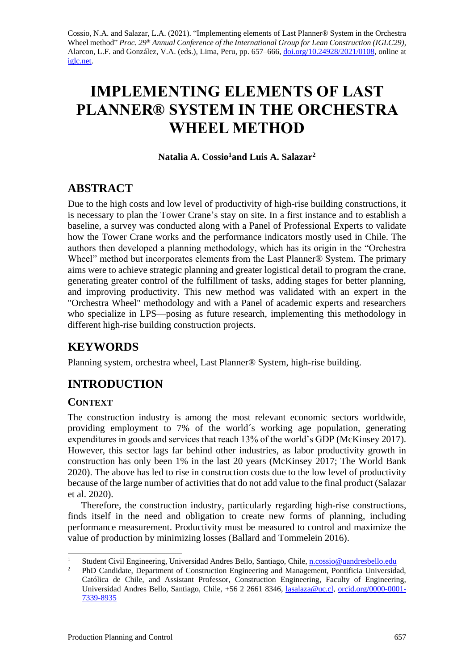Cossio, N.A. and Salazar, L.A. (2021). "Implementing elements of Last Planner® System in the Orchestra Wheel method" *Proc. 29<sup>th</sup> Annual Conference of the International Group for Lean Construction (IGLC29),* Alarcon, L.F. and González, V.A. (eds.)*,* Lima, Peru, pp. 657–666, [doi.org/10.24928/2021/0108,](https://doi.org/10.24928/2021/0108) online at [iglc.net.](http://iglc.net/)

# **IMPLEMENTING ELEMENTS OF LAST PLANNER® SYSTEM IN THE ORCHESTRA WHEEL METHOD**

### **Natalia A. Cossio<sup>1</sup>and Luis A. Salazar<sup>2</sup>**

# **ABSTRACT**

Due to the high costs and low level of productivity of high-rise building constructions, it is necessary to plan the Tower Crane's stay on site. In a first instance and to establish a baseline, a survey was conducted along with a Panel of Professional Experts to validate how the Tower Crane works and the performance indicators mostly used in Chile. The authors then developed a planning methodology, which has its origin in the "Orchestra Wheel" method but incorporates elements from the Last Planner® System. The primary aims were to achieve strategic planning and greater logistical detail to program the crane, generating greater control of the fulfillment of tasks, adding stages for better planning, and improving productivity. This new method was validated with an expert in the "Orchestra Wheel" methodology and with a Panel of academic experts and researchers who specialize in LPS—posing as future research, implementing this methodology in different high-rise building construction projects.

# **KEYWORDS**

Planning system, orchestra wheel, Last Planner® System, high-rise building.

# **INTRODUCTION**

### **CONTEXT**

The construction industry is among the most relevant economic sectors worldwide, providing employment to 7% of the world´s working age population, generating expenditures in goods and services that reach 13% of the world's GDP (McKinsey 2017). However, this sector lags far behind other industries, as labor productivity growth in construction has only been 1% in the last 20 years (McKinsey 2017; The World Bank 2020). The above has led to rise in construction costs due to the low level of productivity because of the large number of activities that do not add value to the final product (Salazar et al. 2020).

Therefore, the construction industry, particularly regarding high-rise constructions, finds itself in the need and obligation to create new forms of planning, including performance measurement. Productivity must be measured to control and maximize the value of production by minimizing losses (Ballard and Tommelein 2016).

<sup>&</sup>lt;sup>1</sup> Student Civil Engineering, Universidad Andres Bello, Santiago, Chile, <u>n.cossio@uandresbello.edu</u><br><sup>2</sup> PhD Condidate Department of Construction Engineering and Management Pontificial Universide

<sup>2</sup> PhD Candidate, Department of Construction Engineering and Management, Pontificia Universidad, Católica de Chile, and Assistant Professor, Construction Engineering, Faculty of Engineering, Universidad Andres Bello, Santiago, Chile, +56 2 2661 8346, [lasalaza@uc.cl,](mailto:lasalaza@uc.cl) [orcid.org/0000-0001-](https://orcid.org/0000-0001-7339-8935) [7339-8935](https://orcid.org/0000-0001-7339-8935)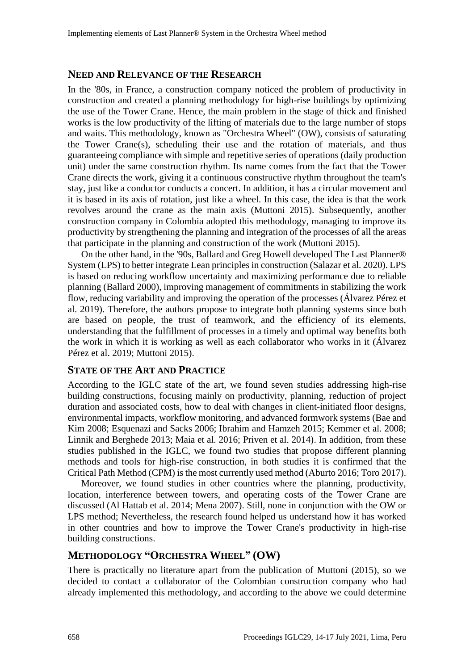#### **NEED AND RELEVANCE OF THE RESEARCH**

In the '80s, in France, a construction company noticed the problem of productivity in construction and created a planning methodology for high-rise buildings by optimizing the use of the Tower Crane. Hence, the main problem in the stage of thick and finished works is the low productivity of the lifting of materials due to the large number of stops and waits. This methodology, known as "Orchestra Wheel" (OW), consists of saturating the Tower Crane(s), scheduling their use and the rotation of materials, and thus guaranteeing compliance with simple and repetitive series of operations (daily production unit) under the same construction rhythm. Its name comes from the fact that the Tower Crane directs the work, giving it a continuous constructive rhythm throughout the team's stay, just like a conductor conducts a concert. In addition, it has a circular movement and it is based in its axis of rotation, just like a wheel. In this case, the idea is that the work revolves around the crane as the main axis (Muttoni 2015). Subsequently, another construction company in Colombia adopted this methodology, managing to improve its productivity by strengthening the planning and integration of the processes of all the areas that participate in the planning and construction of the work (Muttoni 2015).

On the other hand, in the '90s, Ballard and Greg Howell developed The Last Planner® System (LPS) to better integrate Lean principles in construction (Salazar et al. 2020). LPS is based on reducing workflow uncertainty and maximizing performance due to reliable planning (Ballard 2000), improving management of commitments in stabilizing the work flow, reducing variability and improving the operation of the processes (Álvarez Pérez et al. 2019). Therefore, the authors propose to integrate both planning systems since both are based on people, the trust of teamwork, and the efficiency of its elements, understanding that the fulfillment of processes in a timely and optimal way benefits both the work in which it is working as well as each collaborator who works in it (Álvarez Pérez et al. 2019; Muttoni 2015).

#### **STATE OF THE ART AND PRACTICE**

According to the IGLC state of the art, we found seven studies addressing high-rise building constructions, focusing mainly on productivity, planning, reduction of project duration and associated costs, how to deal with changes in client-initiated floor designs, environmental impacts, workflow monitoring, and advanced formwork systems (Bae and Kim 2008; Esquenazi and Sacks 2006; Ibrahim and Hamzeh 2015; Kemmer et al. 2008; Linnik and Berghede 2013; Maia et al. 2016; Priven et al. 2014). In addition, from these studies published in the IGLC, we found two studies that propose different planning methods and tools for high-rise construction, in both studies it is confirmed that the Critical Path Method (CPM) is the most currently used method (Aburto 2016; Toro 2017).

Moreover, we found studies in other countries where the planning, productivity, location, interference between towers, and operating costs of the Tower Crane are discussed (Al Hattab et al. 2014; Mena 2007). Still, none in conjunction with the OW or LPS method; Nevertheless, the research found helped us understand how it has worked in other countries and how to improve the Tower Crane's productivity in high-rise building constructions.

#### **METHODOLOGY "ORCHESTRA WHEEL" (OW)**

There is practically no literature apart from the publication of Muttoni (2015), so we decided to contact a collaborator of the Colombian construction company who had already implemented this methodology, and according to the above we could determine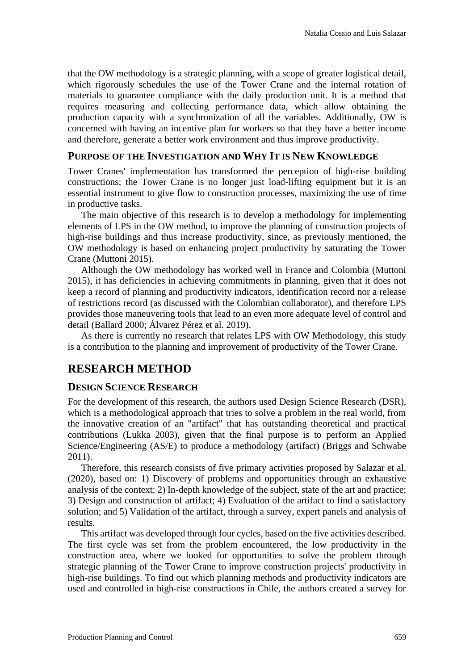that the OW methodology is a strategic planning, with a scope of greater logistical detail, which rigorously schedules the use of the Tower Crane and the internal rotation of materials to guarantee compliance with the daily production unit. It is a method that requires measuring and collecting performance data, which allow obtaining the production capacity with a synchronization of all the variables. Additionally, OW is concerned with having an incentive plan for workers so that they have a better income and therefore, generate a better work environment and thus improve productivity.

#### **PURPOSE OF THE INVESTIGATION AND WHY IT IS NEW KNOWLEDGE**

Tower Cranes' implementation has transformed the perception of high-rise building constructions; the Tower Crane is no longer just load-lifting equipment but it is an essential instrument to give flow to construction processes, maximizing the use of time in productive tasks.

The main objective of this research is to develop a methodology for implementing elements of LPS in the OW method, to improve the planning of construction projects of high-rise buildings and thus increase productivity, since, as previously mentioned, the OW methodology is based on enhancing project productivity by saturating the Tower Crane (Muttoni 2015).

Although the OW methodology has worked well in France and Colombia (Muttoni 2015), it has deficiencies in achieving commitments in planning, given that it does not keep a record of planning and productivity indicators, identification record nor a release of restrictions record (as discussed with the Colombian collaborator), and therefore LPS provides those maneuvering tools that lead to an even more adequate level of control and detail (Ballard 2000; Álvarez Pérez et al. 2019).

As there is currently no research that relates LPS with OW Methodology, this study is a contribution to the planning and improvement of productivity of the Tower Crane.

## **RESEARCH METHOD**

#### **DESIGN SCIENCE RESEARCH**

For the development of this research, the authors used Design Science Research (DSR), which is a methodological approach that tries to solve a problem in the real world, from the innovative creation of an "artifact" that has outstanding theoretical and practical contributions (Lukka 2003), given that the final purpose is to perform an Applied Science/Engineering (AS/E) to produce a methodology (artifact) (Briggs and Schwabe 2011).

Therefore, this research consists of five primary activities proposed by Salazar et al. (2020), based on: 1) Discovery of problems and opportunities through an exhaustive analysis of the context; 2) In-depth knowledge of the subject, state of the art and practice; 3) Design and construction of artifact; 4) Evaluation of the artifact to find a satisfactory solution; and 5) Validation of the artifact, through a survey, expert panels and analysis of results.

This artifact was developed through four cycles, based on the five activities described. The first cycle was set from the problem encountered, the low productivity in the construction area, where we looked for opportunities to solve the problem through strategic planning of the Tower Crane to improve construction projects' productivity in high-rise buildings. To find out which planning methods and productivity indicators are used and controlled in high-rise constructions in Chile, the authors created a survey for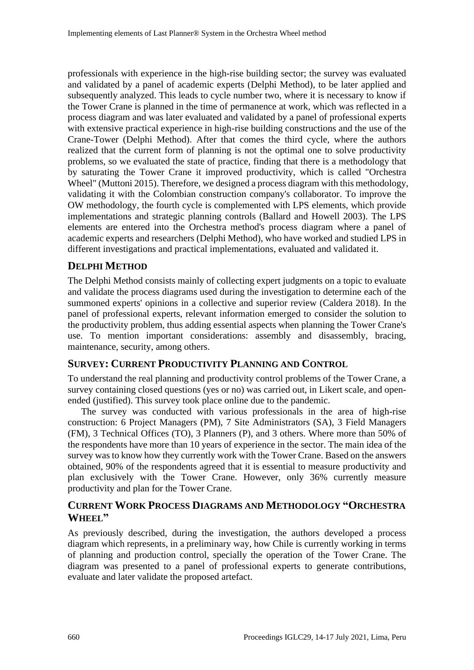professionals with experience in the high-rise building sector; the survey was evaluated and validated by a panel of academic experts (Delphi Method), to be later applied and subsequently analyzed. This leads to cycle number two, where it is necessary to know if the Tower Crane is planned in the time of permanence at work, which was reflected in a process diagram and was later evaluated and validated by a panel of professional experts with extensive practical experience in high-rise building constructions and the use of the Crane-Tower (Delphi Method). After that comes the third cycle, where the authors realized that the current form of planning is not the optimal one to solve productivity problems, so we evaluated the state of practice, finding that there is a methodology that by saturating the Tower Crane it improved productivity, which is called "Orchestra Wheel" (Muttoni 2015). Therefore, we designed a process diagram with this methodology, validating it with the Colombian construction company's collaborator. To improve the OW methodology, the fourth cycle is complemented with LPS elements, which provide implementations and strategic planning controls (Ballard and Howell 2003). The LPS elements are entered into the Orchestra method's process diagram where a panel of academic experts and researchers (Delphi Method), who have worked and studied LPS in different investigations and practical implementations, evaluated and validated it.

### **DELPHI METHOD**

The Delphi Method consists mainly of collecting expert judgments on a topic to evaluate and validate the process diagrams used during the investigation to determine each of the summoned experts' opinions in a collective and superior review (Caldera 2018). In the panel of professional experts, relevant information emerged to consider the solution to the productivity problem, thus adding essential aspects when planning the Tower Crane's use. To mention important considerations: assembly and disassembly, bracing, maintenance, security, among others.

#### **SURVEY: CURRENT PRODUCTIVITY PLANNING AND CONTROL**

To understand the real planning and productivity control problems of the Tower Crane, a survey containing closed questions (yes or no) was carried out, in Likert scale, and openended (justified). This survey took place online due to the pandemic.

The survey was conducted with various professionals in the area of high-rise construction: 6 Project Managers (PM), 7 Site Administrators (SA), 3 Field Managers (FM), 3 Technical Offices (TO), 3 Planners (P), and 3 others. Where more than 50% of the respondents have more than 10 years of experience in the sector. The main idea of the survey was to know how they currently work with the Tower Crane. Based on the answers obtained, 90% of the respondents agreed that it is essential to measure productivity and plan exclusively with the Tower Crane. However, only 36% currently measure productivity and plan for the Tower Crane.

### **CURRENT WORK PROCESS DIAGRAMS AND METHODOLOGY "ORCHESTRA WHEEL"**

As previously described, during the investigation, the authors developed a process diagram which represents, in a preliminary way, how Chile is currently working in terms of planning and production control, specially the operation of the Tower Crane. The diagram was presented to a panel of professional experts to generate contributions, evaluate and later validate the proposed artefact.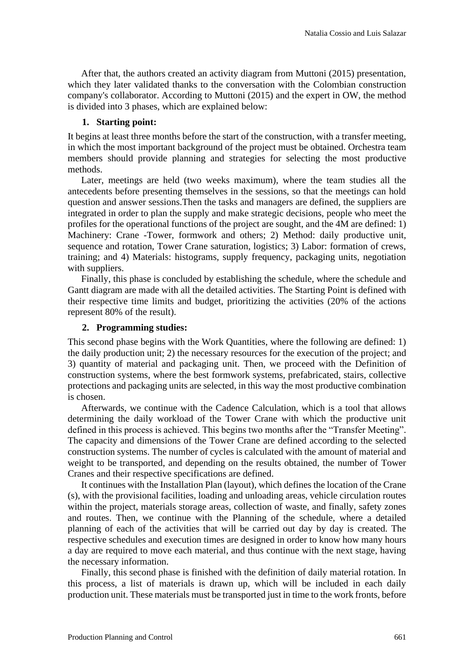After that, the authors created an activity diagram from Muttoni (2015) presentation, which they later validated thanks to the conversation with the Colombian construction company's collaborator. According to Muttoni (2015) and the expert in OW, the method is divided into 3 phases, which are explained below:

#### **1. Starting point:**

It begins at least three months before the start of the construction, with a transfer meeting, in which the most important background of the project must be obtained. Orchestra team members should provide planning and strategies for selecting the most productive methods.

Later, meetings are held (two weeks maximum), where the team studies all the antecedents before presenting themselves in the sessions, so that the meetings can hold question and answer sessions.Then the tasks and managers are defined, the suppliers are integrated in order to plan the supply and make strategic decisions, people who meet the profiles for the operational functions of the project are sought, and the 4M are defined: 1) Machinery: Crane -Tower, formwork and others; 2) Method: daily productive unit, sequence and rotation, Tower Crane saturation, logistics; 3) Labor: formation of crews, training; and 4) Materials: histograms, supply frequency, packaging units, negotiation with suppliers.

Finally, this phase is concluded by establishing the schedule, where the schedule and Gantt diagram are made with all the detailed activities. The Starting Point is defined with their respective time limits and budget, prioritizing the activities (20% of the actions represent 80% of the result).

#### **2. Programming studies:**

This second phase begins with the Work Quantities, where the following are defined: 1) the daily production unit; 2) the necessary resources for the execution of the project; and 3) quantity of material and packaging unit. Then, we proceed with the Definition of construction systems, where the best formwork systems, prefabricated, stairs, collective protections and packaging units are selected, in this way the most productive combination is chosen.

Afterwards, we continue with the Cadence Calculation, which is a tool that allows determining the daily workload of the Tower Crane with which the productive unit defined in this process is achieved. This begins two months after the "Transfer Meeting". The capacity and dimensions of the Tower Crane are defined according to the selected construction systems. The number of cycles is calculated with the amount of material and weight to be transported, and depending on the results obtained, the number of Tower Cranes and their respective specifications are defined.

It continues with the Installation Plan (layout), which defines the location of the Crane (s), with the provisional facilities, loading and unloading areas, vehicle circulation routes within the project, materials storage areas, collection of waste, and finally, safety zones and routes. Then, we continue with the Planning of the schedule, where a detailed planning of each of the activities that will be carried out day by day is created. The respective schedules and execution times are designed in order to know how many hours a day are required to move each material, and thus continue with the next stage, having the necessary information.

Finally, this second phase is finished with the definition of daily material rotation. In this process, a list of materials is drawn up, which will be included in each daily production unit. These materials must be transported just in time to the work fronts, before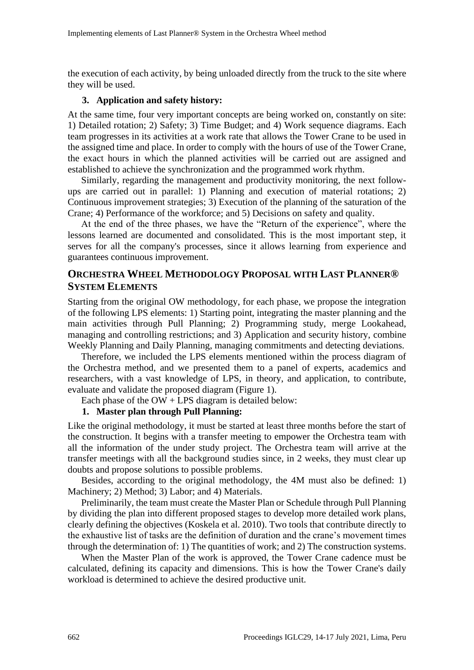the execution of each activity, by being unloaded directly from the truck to the site where they will be used.

#### **3. Application and safety history:**

At the same time, four very important concepts are being worked on, constantly on site: 1) Detailed rotation; 2) Safety; 3) Time Budget; and 4) Work sequence diagrams. Each team progresses in its activities at a work rate that allows the Tower Crane to be used in the assigned time and place. In order to comply with the hours of use of the Tower Crane, the exact hours in which the planned activities will be carried out are assigned and established to achieve the synchronization and the programmed work rhythm.

Similarly, regarding the management and productivity monitoring, the next followups are carried out in parallel: 1) Planning and execution of material rotations; 2) Continuous improvement strategies; 3) Execution of the planning of the saturation of the Crane; 4) Performance of the workforce; and 5) Decisions on safety and quality.

At the end of the three phases, we have the "Return of the experience", where the lessons learned are documented and consolidated. This is the most important step, it serves for all the company's processes, since it allows learning from experience and guarantees continuous improvement.

### **ORCHESTRA WHEEL METHODOLOGY PROPOSAL WITH LAST PLANNER® SYSTEM ELEMENTS**

Starting from the original OW methodology, for each phase, we propose the integration of the following LPS elements: 1) Starting point, integrating the master planning and the main activities through Pull Planning; 2) Programming study, merge Lookahead, managing and controlling restrictions; and 3) Application and security history, combine Weekly Planning and Daily Planning, managing commitments and detecting deviations.

Therefore, we included the LPS elements mentioned within the process diagram of the Orchestra method, and we presented them to a panel of experts, academics and researchers, with a vast knowledge of LPS, in theory, and application, to contribute, evaluate and validate the proposed diagram (Figure 1).

Each phase of the  $OW + LPS$  diagram is detailed below:

#### **1. Master plan through Pull Planning:**

Like the original methodology, it must be started at least three months before the start of the construction. It begins with a transfer meeting to empower the Orchestra team with all the information of the under study project. The Orchestra team will arrive at the transfer meetings with all the background studies since, in 2 weeks, they must clear up doubts and propose solutions to possible problems.

Besides, according to the original methodology, the 4M must also be defined: 1) Machinery; 2) Method; 3) Labor; and 4) Materials.

Preliminarily, the team must create the Master Plan or Schedule through Pull Planning by dividing the plan into different proposed stages to develop more detailed work plans, clearly defining the objectives (Koskela et al. 2010). Two tools that contribute directly to the exhaustive list of tasks are the definition of duration and the crane's movement times through the determination of: 1) The quantities of work; and 2) The construction systems.

When the Master Plan of the work is approved, the Tower Crane cadence must be calculated, defining its capacity and dimensions. This is how the Tower Crane's daily workload is determined to achieve the desired productive unit.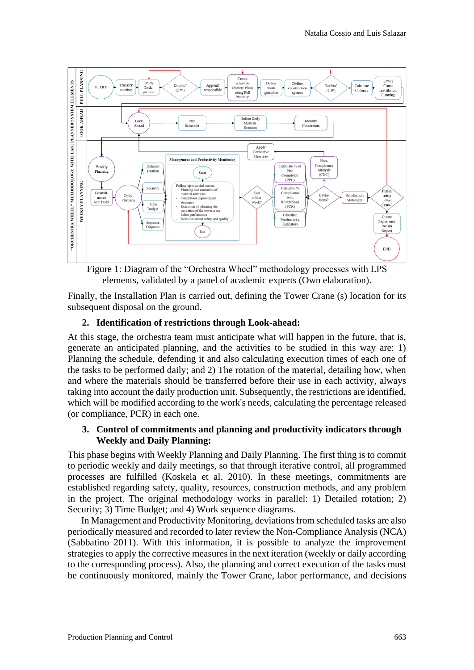

Figure 1: Diagram of the "Orchestra Wheel" methodology processes with LPS elements, validated by a panel of academic experts (Own elaboration).

Finally, the Installation Plan is carried out, defining the Tower Crane (s) location for its subsequent disposal on the ground.

#### **2. Identification of restrictions through Look-ahead:**

At this stage, the orchestra team must anticipate what will happen in the future, that is, generate an anticipated planning, and the activities to be studied in this way are: 1) Planning the schedule, defending it and also calculating execution times of each one of the tasks to be performed daily; and 2) The rotation of the material, detailing how, when and where the materials should be transferred before their use in each activity, always taking into account the daily production unit. Subsequently, the restrictions are identified, which will be modified according to the work's needs, calculating the percentage released (or compliance, PCR) in each one.

#### **3. Control of commitments and planning and productivity indicators through Weekly and Daily Planning:**

This phase begins with Weekly Planning and Daily Planning. The first thing is to commit to periodic weekly and daily meetings, so that through iterative control, all programmed processes are fulfilled (Koskela et al. 2010). In these meetings, commitments are established regarding safety, quality, resources, construction methods, and any problem in the project. The original methodology works in parallel: 1) Detailed rotation; 2) Security; 3) Time Budget; and 4) Work sequence diagrams.

In Management and Productivity Monitoring, deviations from scheduled tasks are also periodically measured and recorded to later review the Non-Compliance Analysis (NCA) (Sabbatino 2011). With this information, it is possible to analyze the improvement strategies to apply the corrective measures in the next iteration (weekly or daily according to the corresponding process). Also, the planning and correct execution of the tasks must be continuously monitored, mainly the Tower Crane, labor performance, and decisions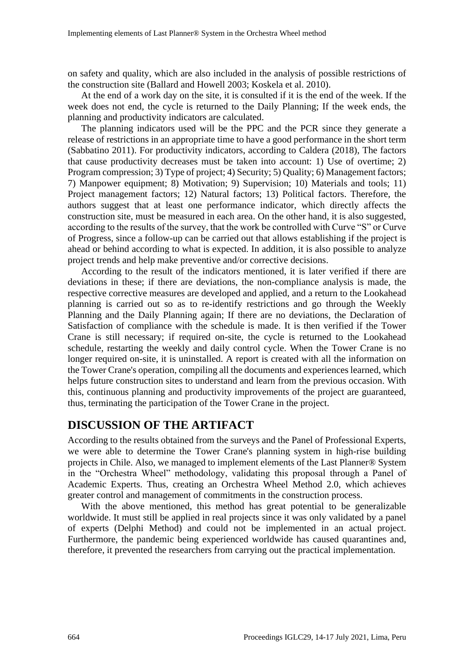on safety and quality, which are also included in the analysis of possible restrictions of the construction site (Ballard and Howell 2003; Koskela et al. 2010).

At the end of a work day on the site, it is consulted if it is the end of the week. If the week does not end, the cycle is returned to the Daily Planning; If the week ends, the planning and productivity indicators are calculated.

The planning indicators used will be the PPC and the PCR since they generate a release of restrictions in an appropriate time to have a good performance in the short term (Sabbatino 2011). For productivity indicators, according to Caldera (2018), The factors that cause productivity decreases must be taken into account: 1) Use of overtime; 2) Program compression; 3) Type of project; 4) Security; 5) Quality; 6) Management factors; 7) Manpower equipment; 8) Motivation; 9) Supervision; 10) Materials and tools; 11) Project management factors; 12) Natural factors; 13) Political factors. Therefore, the authors suggest that at least one performance indicator, which directly affects the construction site, must be measured in each area. On the other hand, it is also suggested, according to the results of the survey, that the work be controlled with Curve "S" or Curve of Progress, since a follow-up can be carried out that allows establishing if the project is ahead or behind according to what is expected. In addition, it is also possible to analyze project trends and help make preventive and/or corrective decisions.

According to the result of the indicators mentioned, it is later verified if there are deviations in these; if there are deviations, the non-compliance analysis is made, the respective corrective measures are developed and applied, and a return to the Lookahead planning is carried out so as to re-identify restrictions and go through the Weekly Planning and the Daily Planning again; If there are no deviations, the Declaration of Satisfaction of compliance with the schedule is made. It is then verified if the Tower Crane is still necessary; if required on-site, the cycle is returned to the Lookahead schedule, restarting the weekly and daily control cycle. When the Tower Crane is no longer required on-site, it is uninstalled. A report is created with all the information on the Tower Crane's operation, compiling all the documents and experiences learned, which helps future construction sites to understand and learn from the previous occasion. With this, continuous planning and productivity improvements of the project are guaranteed, thus, terminating the participation of the Tower Crane in the project.

### **DISCUSSION OF THE ARTIFACT**

According to the results obtained from the surveys and the Panel of Professional Experts, we were able to determine the Tower Crane's planning system in high-rise building projects in Chile. Also, we managed to implement elements of the Last Planner® System in the "Orchestra Wheel" methodology, validating this proposal through a Panel of Academic Experts. Thus, creating an Orchestra Wheel Method 2.0, which achieves greater control and management of commitments in the construction process.

With the above mentioned, this method has great potential to be generalizable worldwide. It must still be applied in real projects since it was only validated by a panel of experts (Delphi Method) and could not be implemented in an actual project. Furthermore, the pandemic being experienced worldwide has caused quarantines and, therefore, it prevented the researchers from carrying out the practical implementation.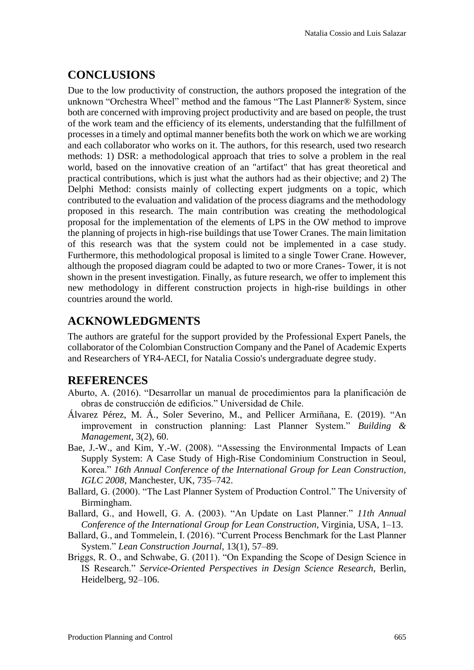# **CONCLUSIONS**

Due to the low productivity of construction, the authors proposed the integration of the unknown "Orchestra Wheel" method and the famous "The Last Planner® System, since both are concerned with improving project productivity and are based on people, the trust of the work team and the efficiency of its elements, understanding that the fulfillment of processes in a timely and optimal manner benefits both the work on which we are working and each collaborator who works on it. The authors, for this research, used two research methods: 1) DSR: a methodological approach that tries to solve a problem in the real world, based on the innovative creation of an "artifact" that has great theoretical and practical contributions, which is just what the authors had as their objective; and 2) The Delphi Method: consists mainly of collecting expert judgments on a topic, which contributed to the evaluation and validation of the process diagrams and the methodology proposed in this research. The main contribution was creating the methodological proposal for the implementation of the elements of LPS in the OW method to improve the planning of projects in high-rise buildings that use Tower Cranes. The main limitation of this research was that the system could not be implemented in a case study. Furthermore, this methodological proposal is limited to a single Tower Crane. However, although the proposed diagram could be adapted to two or more Cranes- Tower, it is not shown in the present investigation. Finally, as future research, we offer to implement this new methodology in different construction projects in high-rise buildings in other countries around the world.

# **ACKNOWLEDGMENTS**

The authors are grateful for the support provided by the Professional Expert Panels, the collaborator of the Colombian Construction Company and the Panel of Academic Experts and Researchers of YR4-AECI, for Natalia Cossio's undergraduate degree study.

## **REFERENCES**

- Aburto, A. (2016). "Desarrollar un manual de procedimientos para la planificación de obras de construcción de edificios." Universidad de Chile.
- Álvarez Pérez, M. Á., Soler Severino, M., and Pellicer Armiñana, E. (2019). "An improvement in construction planning: Last Planner System." *Building & Management*, 3(2), 60.
- Bae, J.-W., and Kim, Y.-W. (2008). "Assessing the Environmental Impacts of Lean Supply System: A Case Study of High-Rise Condominium Construction in Seoul, Korea." *16th Annual Conference of the International Group for Lean Construction, IGLC 2008*, Manchester, UK, 735–742.
- Ballard, G. (2000). "The Last Planner System of Production Control." The University of Birmingham.
- Ballard, G., and Howell, G. A. (2003). "An Update on Last Planner." *11th Annual Conference of the International Group for Lean Construction*, Virginia, USA, 1–13.
- Ballard, G., and Tommelein, I. (2016). "Current Process Benchmark for the Last Planner System." *Lean Construction Journal*, 13(1), 57–89.
- Briggs, R. O., and Schwabe, G. (2011). "On Expanding the Scope of Design Science in IS Research." *Service-Oriented Perspectives in Design Science Research*, Berlin, Heidelberg, 92–106.